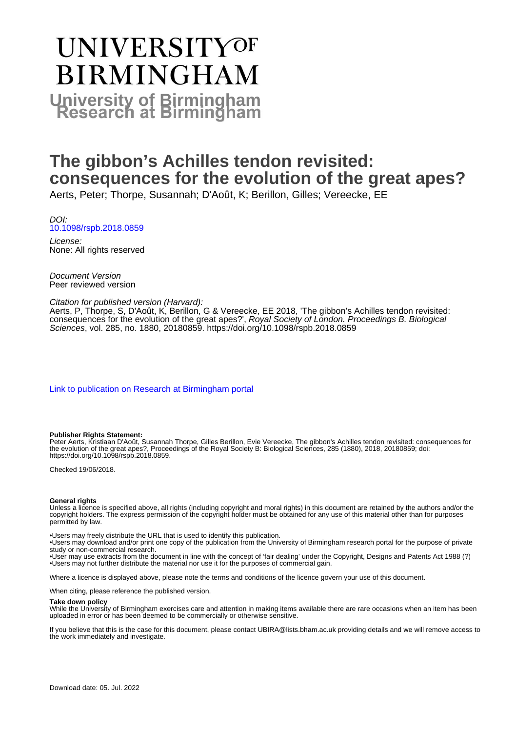# UNIVERSITYOF **BIRMINGHAM University of Birmingham**

# **The gibbon's Achilles tendon revisited: consequences for the evolution of the great apes?**

Aerts, Peter; Thorpe, Susannah; D'Août, K; Berillon, Gilles; Vereecke, EE

DOI: [10.1098/rspb.2018.0859](https://doi.org/10.1098/rspb.2018.0859)

License: None: All rights reserved

Document Version Peer reviewed version

#### Citation for published version (Harvard):

Aerts, P, Thorpe, S, D'Août, K, Berillon, G & Vereecke, EE 2018, 'The gibbon's Achilles tendon revisited: consequences for the evolution of the great apes?', Royal Society of London. Proceedings B. Biological Sciences, vol. 285, no. 1880, 20180859.<https://doi.org/10.1098/rspb.2018.0859>

[Link to publication on Research at Birmingham portal](https://birmingham.elsevierpure.com/en/publications/4c7065ee-9831-44ba-b5c8-e40b803c1de2)

#### **Publisher Rights Statement:**

Peter Aerts, Kristiaan D'Août, Susannah Thorpe, Gilles Berillon, Evie Vereecke, The gibbon's Achilles tendon revisited: consequences for the evolution of the great apes?, Proceedings of the Royal Society B: Biological Sciences, 285 (1880), 2018, 20180859; doi: https://doi.org/10.1098/rspb.2018.0859.

Checked 19/06/2018.

#### **General rights**

Unless a licence is specified above, all rights (including copyright and moral rights) in this document are retained by the authors and/or the copyright holders. The express permission of the copyright holder must be obtained for any use of this material other than for purposes permitted by law.

• Users may freely distribute the URL that is used to identify this publication.

• Users may download and/or print one copy of the publication from the University of Birmingham research portal for the purpose of private study or non-commercial research.

• User may use extracts from the document in line with the concept of 'fair dealing' under the Copyright, Designs and Patents Act 1988 (?) • Users may not further distribute the material nor use it for the purposes of commercial gain.

Where a licence is displayed above, please note the terms and conditions of the licence govern your use of this document.

When citing, please reference the published version.

#### **Take down policy**

While the University of Birmingham exercises care and attention in making items available there are rare occasions when an item has been uploaded in error or has been deemed to be commercially or otherwise sensitive.

If you believe that this is the case for this document, please contact UBIRA@lists.bham.ac.uk providing details and we will remove access to the work immediately and investigate.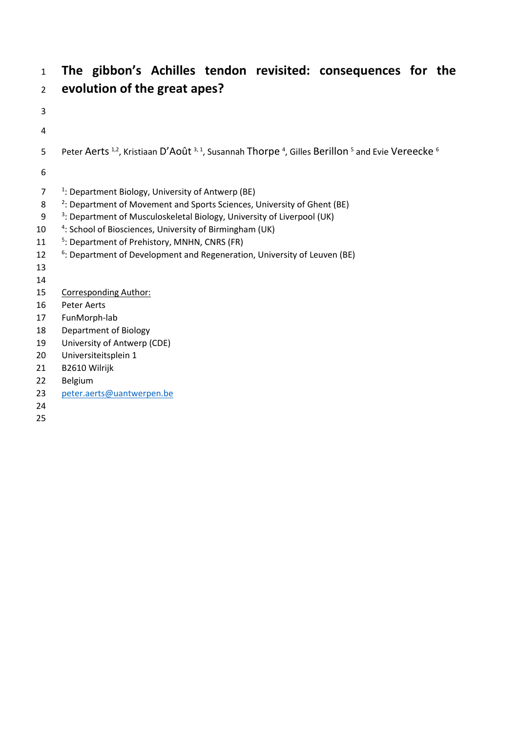## **The gibbon's Achilles tendon revisited: consequences for the evolution of the great apes?**

- 5 Peter Aerts <sup>1,2</sup>, Kristiaan D'Août <sup>3, 1</sup>, Susannah Thorpe <sup>4</sup>, Gilles Berillon <sup>5</sup> and Evie Vereecke <sup>6</sup>  $7 \cdot 1$ : Department Biology, University of Antwerp (BE) 8 <sup>2</sup>: Department of Movement and Sports Sciences, University of Ghent (BE) 9 <sup>3</sup>: Department of Musculoskeletal Biology, University of Liverpool (UK) 10 <sup>4</sup>: School of Biosciences, University of Birmingham (UK) 11 <sup>5</sup>: Department of Prehistory, MNHN, CNRS (FR) 12 <sup>6</sup>: Department of Development and Regeneration, University of Leuven (BE) 15 Corresponding Author: Peter Aerts
- FunMorph-lab
- Department of Biology
- University of Antwerp (CDE)
- Universiteitsplein 1
- B2610 Wilrijk
- Belgium
- [peter.aerts@uantwerpen.be](mailto:peter.aerts@uantwerpen.be)
-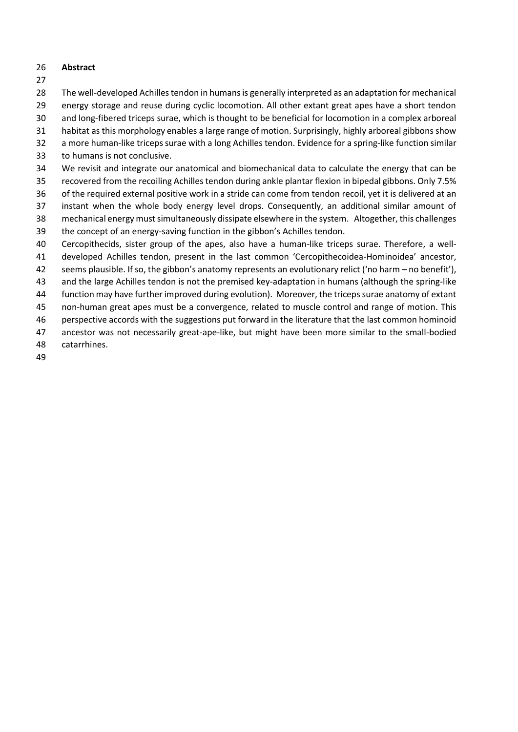#### **Abstract**

- 
- The well-developed Achilles tendon in humans is generally interpreted as an adaptation for mechanical
- energy storage and reuse during cyclic locomotion. All other extant great apes have a short tendon
- and long-fibered triceps surae, which is thought to be beneficial for locomotion in a complex arboreal
- habitat as this morphology enables a large range of motion. Surprisingly, highly arboreal gibbons show
- a more human-like triceps surae with a long Achilles tendon. Evidence for a spring-like function similar
- to humans is not conclusive.
- We revisit and integrate our anatomical and biomechanical data to calculate the energy that can be
- recovered from the recoiling Achilles tendon during ankle plantar flexion in bipedal gibbons. Only 7.5%
- of the required external positive work in a stride can come from tendon recoil, yet it is delivered at an
- instant when the whole body energy level drops. Consequently, an additional similar amount of mechanical energy must simultaneously dissipate elsewhere in the system. Altogether, this challenges
- the concept of an energy-saving function in the gibbon's Achilles tendon.
- Cercopithecids, sister group of the apes, also have a human-like triceps surae. Therefore, a well-
- developed Achilles tendon, present in the last common 'Cercopithecoidea-Hominoidea' ancestor,
- seems plausible. If so, the gibbon's anatomy represents an evolutionary relict ('no harm no benefit'),
- and the large Achilles tendon is not the premised key-adaptation in humans (although the spring-like function may have further improved during evolution). Moreover, the triceps surae anatomy of extant
- non-human great apes must be a convergence, related to muscle control and range of motion. This
- perspective accords with the suggestions put forward in the literature that the last common hominoid
- ancestor was not necessarily great-ape-like, but might have been more similar to the small-bodied
- catarrhines.
-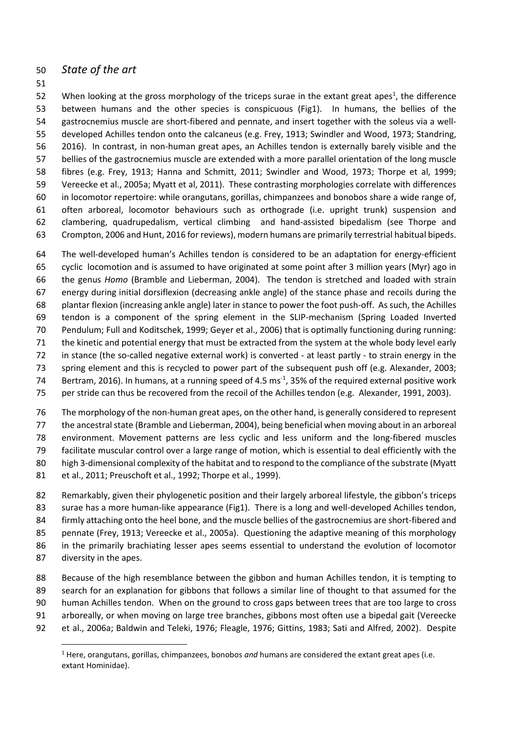## *State of the art*

 $\overline{\phantom{a}}$ 

52 When looking at the gross morphology of the triceps surae in the extant great apes<sup>1</sup>, the difference between humans and the other species is conspicuous (Fig1). In humans, the bellies of the gastrocnemius muscle are short-fibered and pennate, and insert together with the soleus via a well- developed Achilles tendon onto the calcaneus (e.g. Frey, 1913; Swindler and Wood, 1973; Standring, 2016). In contrast, in non-human great apes, an Achilles tendon is externally barely visible and the bellies of the gastrocnemius muscle are extended with a more parallel orientation of the long muscle fibres (e.g. Frey, 1913; Hanna and Schmitt, 2011; Swindler and Wood, 1973; Thorpe et al, 1999; Vereecke et al., 2005a; Myatt et al, 2011). These contrasting morphologies correlate with differences in locomotor repertoire: while orangutans, gorillas, chimpanzees and bonobos share a wide range of, often arboreal, locomotor behaviours such as orthograde (i.e. upright trunk) suspension and clambering, quadrupedalism, vertical climbing and hand-assisted bipedalism (see Thorpe and Crompton, 2006 and Hunt, 2016 for reviews), modern humans are primarily terrestrial habitual bipeds.

 The well-developed human's Achilles tendon is considered to be an adaptation for energy-efficient cyclic locomotion and is assumed to have originated at some point after 3 million years (Myr) ago in the genus *Homo* (Bramble and Lieberman, 2004). The tendon is stretched and loaded with strain energy during initial dorsiflexion (decreasing ankle angle) of the stance phase and recoils during the plantar flexion (increasing ankle angle) later in stance to power the foot push-off. As such, the Achilles tendon is a component of the spring element in the SLIP-mechanism (Spring Loaded Inverted Pendulum; Full and Koditschek, 1999; Geyer et al., 2006) that is optimally functioning during running: the kinetic and potential energy that must be extracted from the system at the whole body level early in stance (the so-called negative external work) is converted - at least partly - to strain energy in the spring element and this is recycled to power part of the subsequent push off (e.g. Alexander, 2003; 74 Bertram, 2016). In humans, at a running speed of 4.5 ms<sup>-1</sup>, 35% of the required external positive work per stride can thus be recovered from the recoil of the Achilles tendon (e.g. Alexander, 1991, 2003).

 The morphology of the non-human great apes, on the other hand, is generally considered to represent the ancestral state (Bramble and Lieberman, 2004), being beneficial when moving about in an arboreal environment. Movement patterns are less cyclic and less uniform and the long-fibered muscles facilitate muscular control over a large range of motion, which is essential to deal efficiently with the 80 high 3-dimensional complexity of the habitat and to respond to the compliance of the substrate (Myatt et al., 2011; Preuschoft et al., 1992; Thorpe et al., 1999).

 Remarkably, given their phylogenetic position and their largely arboreal lifestyle, the gibbon's triceps surae has a more human-like appearance (Fig1). There is a long and well-developed Achilles tendon, 84 firmly attaching onto the heel bone, and the muscle bellies of the gastrocnemius are short-fibered and pennate (Frey, 1913; Vereecke et al., 2005a). Questioning the adaptive meaning of this morphology in the primarily brachiating lesser apes seems essential to understand the evolution of locomotor diversity in the apes.

- Because of the high resemblance between the gibbon and human Achilles tendon, it is tempting to
- search for an explanation for gibbons that follows a similar line of thought to that assumed for the
- human Achilles tendon. When on the ground to cross gaps between trees that are too large to cross
- arboreally, or when moving on large tree branches, gibbons most often use a bipedal gait (Vereecke
- et al., 2006a; Baldwin and Teleki, 1976; Fleagle, 1976; Gittins, 1983; Sati and Alfred, 2002). Despite

 Here, orangutans, gorillas, chimpanzees, bonobos *and* humans are considered the extant great apes (i.e. extant Hominidae).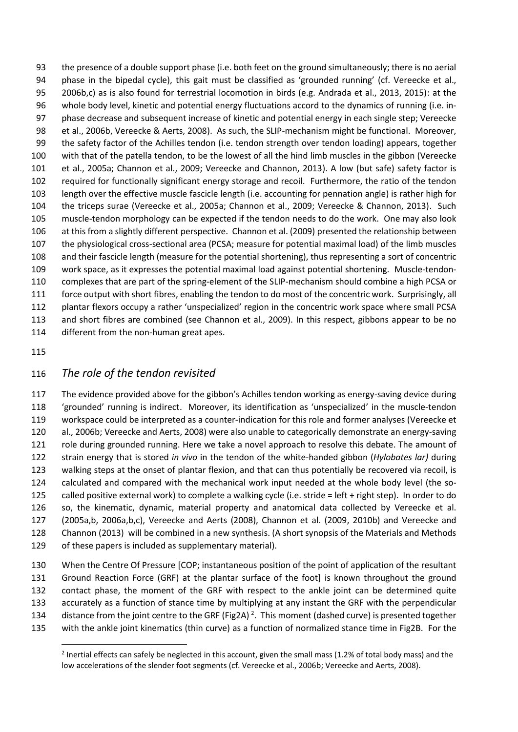the presence of a double support phase (i.e. both feet on the ground simultaneously; there is no aerial 94 phase in the bipedal cycle), this gait must be classified as 'grounded running' (cf. Vereecke et al., 2006b,c) as is also found for terrestrial locomotion in birds (e.g. Andrada et al., 2013, 2015): at the whole body level, kinetic and potential energy fluctuations accord to the dynamics of running (i.e. in- phase decrease and subsequent increase of kinetic and potential energy in each single step; Vereecke et al., 2006b, Vereecke & Aerts, 2008). As such, the SLIP-mechanism might be functional. Moreover, the safety factor of the Achilles tendon (i.e. tendon strength over tendon loading) appears, together with that of the patella tendon, to be the lowest of all the hind limb muscles in the gibbon (Vereecke et al., 2005a; Channon et al., 2009; Vereecke and Channon, 2013). A low (but safe) safety factor is required for functionally significant energy storage and recoil. Furthermore, the ratio of the tendon length over the effective muscle fascicle length (i.e. accounting for pennation angle) is rather high for the triceps surae (Vereecke et al., 2005a; Channon et al., 2009; Vereecke & Channon, 2013). Such muscle-tendon morphology can be expected if the tendon needs to do the work. One may also look at this from a slightly different perspective. Channon et al. (2009) presented the relationship between the physiological cross-sectional area (PCSA; measure for potential maximal load) of the limb muscles and their fascicle length (measure for the potential shortening), thus representing a sort of concentric work space, as it expresses the potential maximal load against potential shortening. Muscle-tendon- complexes that are part of the spring-element of the SLIP-mechanism should combine a high PCSA or force output with short fibres, enabling the tendon to do most of the concentric work. Surprisingly, all plantar flexors occupy a rather 'unspecialized' region in the concentric work space where small PCSA and short fibres are combined (see Channon et al., 2009). In this respect, gibbons appear to be no different from the non-human great apes.

 $\overline{\phantom{a}}$ 

## *The role of the tendon revisited*

 The evidence provided above for the gibbon's Achilles tendon working as energy-saving device during 'grounded' running is indirect. Moreover, its identification as 'unspecialized' in the muscle-tendon workspace could be interpreted as a counter-indication for this role and former analyses (Vereecke et al., 2006b; Vereecke and Aerts, 2008) were also unable to categorically demonstrate an energy-saving 121 role during grounded running. Here we take a novel approach to resolve this debate. The amount of strain energy that is stored *in vivo* in the tendon of the white-handed gibbon (*Hylobates lar)* during walking steps at the onset of plantar flexion, and that can thus potentially be recovered via recoil, is calculated and compared with the mechanical work input needed at the whole body level (the so- called positive external work) to complete a walking cycle (i.e. stride = left + right step). In order to do so, the kinematic, dynamic, material property and anatomical data collected by Vereecke et al. (2005a,b, 2006a,b,c), Vereecke and Aerts (2008), Channon et al. (2009, 2010b) and Vereecke and Channon (2013) will be combined in a new synthesis. (A short synopsis of the Materials and Methods of these papers is included as supplementary material).

 When the Centre Of Pressure [COP; instantaneous position of the point of application of the resultant Ground Reaction Force (GRF) at the plantar surface of the foot] is known throughout the ground contact phase, the moment of the GRF with respect to the ankle joint can be determined quite accurately as a function of stance time by multiplying at any instant the GRF with the perpendicular 134 distance from the joint centre to the GRF (Fig2A)<sup>2</sup>. This moment (dashed curve) is presented together

with the ankle joint kinematics (thin curve) as a function of normalized stance time in Fig2B. For the

<sup>&</sup>lt;sup>2</sup> Inertial effects can safely be neglected in this account, given the small mass (1.2% of total body mass) and the low accelerations of the slender foot segments (cf. Vereecke et al., 2006b; Vereecke and Aerts, 2008).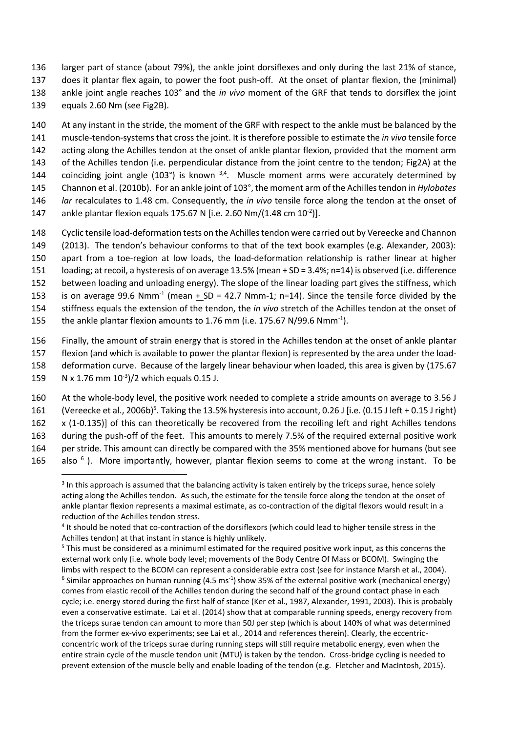136 larger part of stance (about 79%), the ankle joint dorsiflexes and only during the last 21% of stance,

137 does it plantar flex again, to power the foot push-off. At the onset of plantar flexion, the (minimal) 138 ankle joint angle reaches 103° and the *in vivo* moment of the GRF that tends to dorsiflex the joint

139 equals 2.60 Nm (see Fig2B).

140 At any instant in the stride, the moment of the GRF with respect to the ankle must be balanced by the 141 muscle-tendon-systems that cross the joint. It is therefore possible to estimate the *in vivo* tensile force 142 acting along the Achilles tendon at the onset of ankle plantar flexion, provided that the moment arm 143 of the Achilles tendon (i.e. perpendicular distance from the joint centre to the tendon; Fig2A) at the 144 coinciding joint angle (103°) is known  $3,4$ . Muscle moment arms were accurately determined by 145 Channon et al. (2010b). For an ankle joint of 103°, the moment arm of the Achilles tendon in *Hylobates*  146 *lar* recalculates to 1.48 cm. Consequently, the *in vivo* tensile force along the tendon at the onset of

147 ankle plantar flexion equals 175.67 N [i.e. 2.60 Nm/(1.48 cm  $10^{-2}$ )].

 Cyclic tensile load-deformation tests on the Achilles tendon were carried out by Vereecke and Channon (2013). The tendon's behaviour conforms to that of the text book examples (e.g. Alexander, 2003): apart from a toe-region at low loads, the load-deformation relationship is rather linear at higher loading; at recoil, a hysteresis of on average 13.5% (mean + SD = 3.4%; n=14) is observed (i.e. difference between loading and unloading energy). The slope of the linear loading part gives the stiffness, which 153 is on average 99.6 Nmm<sup>-1</sup> (mean  $\pm$  SD = 42.7 Nmm-1; n=14). Since the tensile force divided by the stiffness equals the extension of the tendon, the *in vivo* stretch of the Achilles tendon at the onset of 155 the ankle plantar flexion amounts to 1.76 mm (i.e. 175.67 N/99.6 Nmm<sup>-1</sup>).

 Finally, the amount of strain energy that is stored in the Achilles tendon at the onset of ankle plantar flexion (and which is available to power the plantar flexion) is represented by the area under the load- deformation curve. Because of the largely linear behaviour when loaded, this area is given by (175.67 159 N x 1.76 mm  $10^{-3}$ )/2 which equals 0.15 J.

160 At the whole-body level, the positive work needed to complete a stride amounts on average to 3.56 J 161 (Vereecke et al., 2006b)<sup>5</sup>. Taking the 13.5% hysteresis into account, 0.26 J [i.e. (0.15 J left + 0.15 J right) 162 x (1-0.135)] of this can theoretically be recovered from the recoiling left and right Achilles tendons 163 during the push-off of the feet. This amounts to merely 7.5% of the required external positive work

164 per stride. This amount can directly be compared with the 35% mentioned above for humans (but see 165 also  $6$ ). More importantly, however, plantar flexion seems to come at the wrong instant. To be

 $\overline{a}$  $3$  In this approach is assumed that the balancing activity is taken entirely by the triceps surae, hence solely acting along the Achilles tendon. As such, the estimate for the tensile force along the tendon at the onset of ankle plantar flexion represents a maximal estimate, as co-contraction of the digital flexors would result in a reduction of the Achilles tendon stress.

<sup>&</sup>lt;sup>4</sup> It should be noted that co-contraction of the dorsiflexors (which could lead to higher tensile stress in the Achilles tendon) at that instant in stance is highly unlikely.

<sup>5</sup> This must be considered as a minimuml estimated for the required positive work input, as this concerns the external work only (i.e. whole body level; movements of the Body Centre Of Mass or BCOM). Swinging the limbs with respect to the BCOM can represent a considerable extra cost (see for instance Marsh et al., 2004).  $^6$  Similar approaches on human running (4.5 ms<sup>-1</sup>) show 35% of the external positive work (mechanical energy) comes from elastic recoil of the Achilles tendon during the second half of the ground contact phase in each cycle; i.e. energy stored during the first half of stance (Ker et al., 1987, Alexander, 1991, 2003). This is probably even a conservative estimate. Lai et al. (2014) show that at comparable running speeds, energy recovery from the triceps surae tendon can amount to more than 50J per step (which is about 140% of what was determined from the former ex-vivo experiments; see Lai et al., 2014 and references therein). Clearly, the eccentricconcentric work of the triceps surae during running steps will still require metabolic energy, even when the entire strain cycle of the muscle tendon unit (MTU) is taken by the tendon. Cross-bridge cycling is needed to prevent extension of the muscle belly and enable loading of the tendon (e.g. Fletcher and MacIntosh, 2015).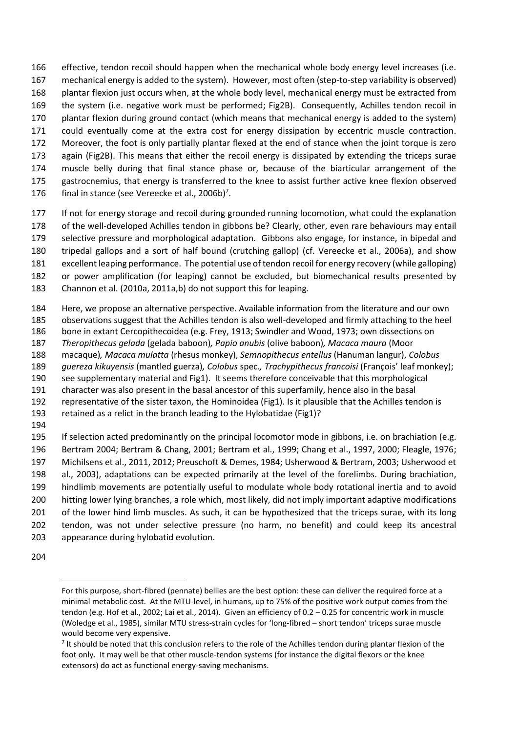effective, tendon recoil should happen when the mechanical whole body energy level increases (i.e. mechanical energy is added to the system). However, most often (step-to-step variability is observed) plantar flexion just occurs when, at the whole body level, mechanical energy must be extracted from the system (i.e. negative work must be performed; Fig2B). Consequently, Achilles tendon recoil in plantar flexion during ground contact (which means that mechanical energy is added to the system) could eventually come at the extra cost for energy dissipation by eccentric muscle contraction. Moreover, the foot is only partially plantar flexed at the end of stance when the joint torque is zero again (Fig2B). This means that either the recoil energy is dissipated by extending the triceps surae muscle belly during that final stance phase or, because of the biarticular arrangement of the gastrocnemius, that energy is transferred to the knee to assist further active knee flexion observed 176 final in stance (see Vereecke et al., 2006b)<sup>7</sup>.

177 If not for energy storage and recoil during grounded running locomotion, what could the explanation of the well-developed Achilles tendon in gibbons be? Clearly, other, even rare behaviours may entail selective pressure and morphological adaptation. Gibbons also engage, for instance, in bipedal and tripedal gallops and a sort of half bound (crutching gallop) (cf. Vereecke et al., 2006a), and show excellent leaping performance. The potential use of tendon recoil for energy recovery (while galloping) or power amplification (for leaping) cannot be excluded, but biomechanical results presented by

Channon et al. (2010a, 2011a,b) do not support this for leaping.

 Here, we propose an alternative perspective. Available information from the literature and our own observations suggest that the Achilles tendon is also well-developed and firmly attaching to the heel bone in extant Cercopithecoidea (e.g. Frey, 1913; Swindler and Wood, 1973; own dissections on *Theropithecus gelada* (gelada baboon)*, Papio anubis* (olive baboon)*, Macaca maura* (Moor macaque)*, Macaca mulatta* (rhesus monkey), *Semnopithecus entellus* (Hanuman langur), *Colobus guereza kikuyensis* (mantled guerza)*, Colobus* spec.*, Trachypithecus francoisi* (François' leaf monkey); see supplementary material and Fig1). It seems therefore conceivable that this morphological character was also present in the basal ancestor of this superfamily, hence also in the basal representative of the sister taxon, the Hominoidea (Fig1). Is it plausible that the Achilles tendon is retained as a relict in the branch leading to the Hylobatidae (Fig1)? 

 If selection acted predominantly on the principal locomotor mode in gibbons, i.e. on brachiation (e.g. Bertram 2004; Bertram & Chang, 2001; Bertram et al., 1999; Chang et al., 1997, 2000; Fleagle, 1976; Michilsens et al., 2011, 2012; Preuschoft & Demes, 1984; Usherwood & Bertram, 2003; Usherwood et al., 2003), adaptations can be expected primarily at the level of the forelimbs. During brachiation, hindlimb movements are potentially useful to modulate whole body rotational inertia and to avoid hitting lower lying branches, a role which, most likely, did not imply important adaptive modifications 201 of the lower hind limb muscles. As such, it can be hypothesized that the triceps surae, with its long tendon, was not under selective pressure (no harm, no benefit) and could keep its ancestral appearance during hylobatid evolution.

 $\overline{\phantom{a}}$ 

For this purpose, short-fibred (pennate) bellies are the best option: these can deliver the required force at a minimal metabolic cost. At the MTU-level, in humans, up to 75% of the positive work output comes from the tendon (e.g. Hof et al., 2002; Lai et al., 2014). Given an efficiency of 0.2 – 0.25 for concentric work in muscle (Woledge et al., 1985), similar MTU stress-strain cycles for 'long-fibred – short tendon' triceps surae muscle would become very expensive.

<sup>&</sup>lt;sup>7</sup> It should be noted that this conclusion refers to the role of the Achilles tendon during plantar flexion of the foot only. It may well be that other muscle-tendon systems (for instance the digital flexors or the knee extensors) do act as functional energy-saving mechanisms.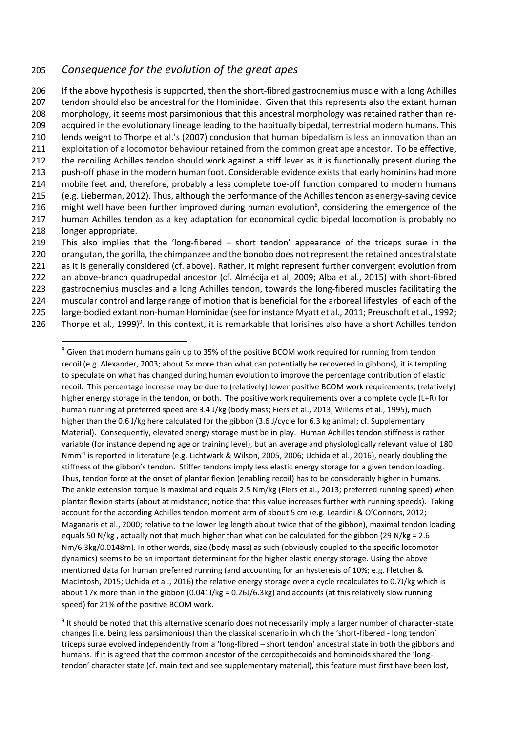## 205 *Consequence for the evolution of the great apes*

 $\overline{\phantom{a}}$ 

 If the above hypothesis is supported, then the short-fibred gastrocnemius muscle with a long Achilles tendon should also be ancestral for the Hominidae. Given that this represents also the extant human morphology, it seems most parsimonious that this ancestral morphology was retained rather than re- acquired in the evolutionary lineage leading to the habitually bipedal, terrestrial modern humans. This lends weight to Thorpe et al.'s (2007) conclusion that human bipedalism is less an innovation than an exploitation of a locomotor behaviour retained from the common great ape ancestor. To be effective, the recoiling Achilles tendon should work against a stiff lever as it is functionally present during the push-off phase in the modern human foot. Considerable evidence exists that early hominins had more mobile feet and, therefore, probably a less complete toe-off function compared to modern humans (e.g. Lieberman, 2012). Thus, although the performance of the Achilles tendon as energy-saving device 216 might well have been further improved during human evolution<sup>8</sup>, considering the emergence of the human Achilles tendon as a key adaptation for economical cyclic bipedal locomotion is probably no longer appropriate. This also implies that the 'long-fibered – short tendon' appearance of the triceps surae in the

- 220 orangutan, the gorilla, the chimpanzee and the bonobo does not represent the retained ancestral state 221 as it is generally considered (cf. above). Rather, it might represent further convergent evolution from 222 an above-branch quadrupedal ancestor (cf. Almécija et al, 2009; Alba et al., 2015) with short-fibred 223 gastrocnemius muscles and a long Achilles tendon, towards the long-fibered muscles facilitating the 224 muscular control and large range of motion that is beneficial for the arboreal lifestyles of each of the
- 225 large-bodied extant non-human Hominidae (see for instance Myatt et al., 2011; Preuschoft et al., 1992;
- 226 Thorpe et al., 1999)<sup>9</sup>. In this context, it is remarkable that lorisines also have a short Achilles tendon

<sup>8</sup> Given that modern humans gain up to 35% of the positive BCOM work required for running from tendon recoil (e.g. Alexander, 2003; about 5x more than what can potentially be recovered in gibbons), it is tempting to speculate on what has changed during human evolution to improve the percentage contribution of elastic recoil. This percentage increase may be due to (relatively) lower positive BCOM work requirements, (relatively) higher energy storage in the tendon, or both. The positive work requirements over a complete cycle (L+R) for human running at preferred speed are 3.4 J/kg (body mass; Fiers et al., 2013; Willems et al., 1995), much higher than the 0.6 J/kg here calculated for the gibbon (3.6 J/cycle for 6.3 kg animal; cf. Supplementary Material). Consequently, elevated energy storage must be in play. Human Achilles tendon stiffness is rather variable (for instance depending age or training level), but an average and physiologically relevant value of 180 Nmm-1 is reported in literature (e.g. Lichtwark & Wilson, 2005, 2006; Uchida et al., 2016), nearly doubling the stiffness of the gibbon's tendon. Stiffer tendons imply less elastic energy storage for a given tendon loading. Thus, tendon force at the onset of plantar flexion (enabling recoil) has to be considerably higher in humans. The ankle extension torque is maximal and equals 2.5 Nm/kg (Fiers et al., 2013; preferred running speed) when plantar flexion starts (about at midstance; notice that this value increases further with running speeds). Taking account for the according Achilles tendon moment arm of about 5 cm (e.g. Leardini & O'Connors, 2012; Maganaris et al., 2000; relative to the lower leg length about twice that of the gibbon), maximal tendon loading equals 50 N/kg , actually not that much higher than what can be calculated for the gibbon (29 N/kg = 2.6 Nm/6.3kg/0.0148m). In other words, size (body mass) as such (obviously coupled to the specific locomotor dynamics) seems to be an important determinant for the higher elastic energy storage. Using the above mentioned data for human preferred running (and accounting for an hysteresis of 10%; e.g. Fletcher & MacIntosh, 2015; Uchida et al., 2016) the relative energy storage over a cycle recalculates to 0.7J/kg which is about 17x more than in the gibbon (0.041J/kg = 0.26J/6.3kg) and accounts (at this relatively slow running speed) for 21% of the positive BCOM work.

<sup>9</sup> It should be noted that this alternative scenario does not necessarily imply a larger number of character-state changes (i.e. being less parsimonious) than the classical scenario in which the 'short-fibered - long tendon' triceps surae evolved independently from a 'long-fibred – short tendon' ancestral state in both the gibbons and humans. If it is agreed that the common ancestor of the cercopithecoids and hominoids shared the 'longtendon' character state (cf. main text and see supplementary material), this feature must first have been lost,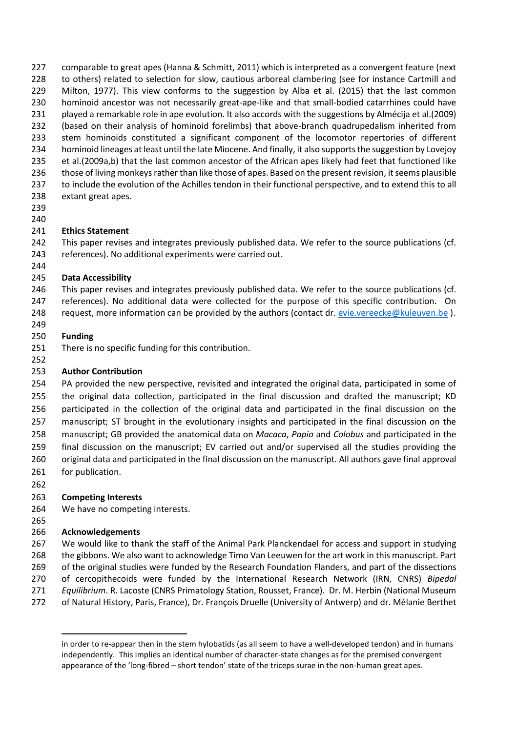comparable to great apes (Hanna & Schmitt, 2011) which is interpreted as a convergent feature (next 228 to others) related to selection for slow, cautious arboreal clambering (see for instance Cartmill and Milton, 1977). This view conforms to the suggestion by Alba et al. (2015) that the last common hominoid ancestor was not necessarily great-ape-like and that small-bodied catarrhines could have played a remarkable role in ape evolution. It also accords with the suggestions by Almécija et al.(2009) (based on their analysis of hominoid forelimbs) that above-branch quadrupedalism inherited from stem hominoids constituted a significant component of the locomotor repertories of different hominoid lineages at least until the late Miocene. And finally, it also supports the suggestion by Lovejoy et al.(2009a,b) that the last common ancestor of the African apes likely had feet that functioned like those of living monkeys rather than like those of apes. Based on the present revision, it seems plausible to include the evolution of the Achilles tendon in their functional perspective, and to extend this to all extant great apes.

#### 

#### **Ethics Statement**

242 This paper revises and integrates previously published data. We refer to the source publications (cf. references). No additional experiments were carried out.

#### **Data Accessibility**

246 This paper revises and integrates previously published data. We refer to the source publications (cf. references). No additional data were collected for the purpose of this specific contribution. On

248 request, more information can be provided by the authors (contact dr[. evie.vereecke@kuleuven.be](mailto:evie.vereecke@kuleuven.be)).

#### **Funding**

There is no specific funding for this contribution.

## **Author Contribution**

 PA provided the new perspective, revisited and integrated the original data, participated in some of the original data collection, participated in the final discussion and drafted the manuscript; KD participated in the collection of the original data and participated in the final discussion on the manuscript; ST brought in the evolutionary insights and participated in the final discussion on the manuscript; GB provided the anatomical data on *Macaca*, *Papio* and *Colobus* and participated in the final discussion on the manuscript; EV carried out and/or supervised all the studies providing the original data and participated in the final discussion on the manuscript. All authors gave final approval 261 for publication. 

#### **Competing Interests**

We have no competing interests.

## **Acknowledgements**

 $\overline{\phantom{a}}$ 

 We would like to thank the staff of the Animal Park Planckendael for access and support in studying the gibbons. We also want to acknowledge Timo Van Leeuwen for the art work in this manuscript. Part of the original studies were funded by the Research Foundation Flanders, and part of the dissections of cercopithecoids were funded by the International Research Network (IRN, CNRS) *Bipedal Equilibrium*. R. Lacoste (CNRS Primatology Station, Rousset, France). Dr. M. Herbin (National Museum of Natural History, Paris, France), Dr. François Druelle (University of Antwerp) and dr. Mélanie Berthet

in order to re-appear then in the stem hylobatids (as all seem to have a well-developed tendon) and in humans independently. This implies an identical number of character-state changes as for the premised convergent appearance of the 'long-fibred – short tendon' state of the triceps surae in the non-human great apes.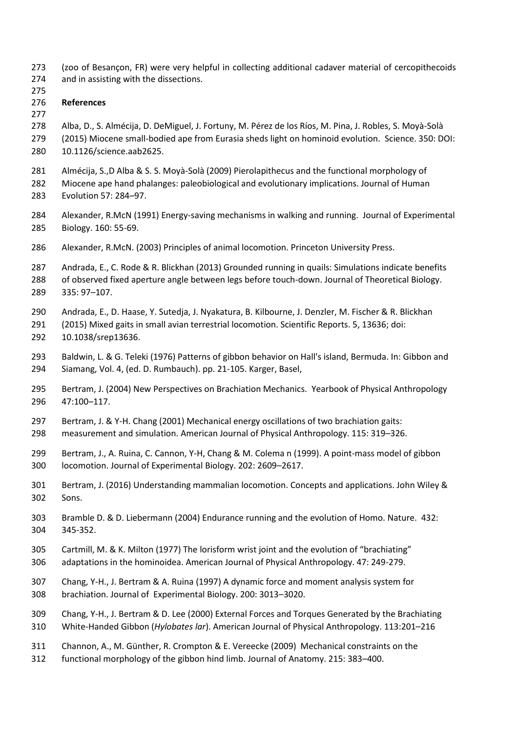- (zoo of Besançon, FR) were very helpful in collecting additional cadaver material of cercopithecoids and in assisting with the dissections.
- 
- **References**
- 

Alba, D., S. Almécija, D. DeMiguel, J. Fortuny, M. Pérez de los Ríos, M. Pina, J. Robles, S. Moyà-Solà

- (2015) Miocene small-bodied ape from Eurasia sheds light on hominoid evolution. Science. 350: DOI: 10.1126/science.aab2625.
- Almécija, S.,D Alba & S. S. Moyà-Solà (2009) Pierolapithecus and the functional morphology of
- Miocene ape hand phalanges: paleobiological and evolutionary implications. Journal of Human
- Evolution 57: 284–97.
- Alexander, R.McN (1991) Energy-saving mechanisms in walking and running. Journal of Experimental Biology. 160: 55-69.
- Alexander, R.McN. (2003) Principles of animal locomotion. Princeton University Press.
- Andrada, E., C. Rode & R. Blickhan (2013) Grounded running in quails: Simulations indicate benefits
- of observed fixed aperture angle between legs before touch-down. Journal of Theoretical Biology.
- 335: 97–107.
- Andrada, E., D. Haase, Y. Sutedja, J. Nyakatura, B. Kilbourne, J. Denzler, M. Fischer & R. Blickhan
- (2015) Mixed gaits in small avian terrestrial locomotion. Scientific Reports. 5, 13636; doi: 10.1038/srep13636.
- Baldwin, L. & G. Teleki (1976) Patterns of gibbon behavior on Hall's island, Bermuda. In: Gibbon and Siamang, Vol. 4, (ed. D. Rumbauch). pp. 21-105. Karger, Basel,
- Bertram, J. (2004) New Perspectives on Brachiation Mechanics. Yearbook of Physical Anthropology 47:100–117.
- Bertram, J. & Y-H. Chang (2001) Mechanical energy oscillations of two brachiation gaits:
- measurement and simulation. American Journal of Physical Anthropology. 115: 319–326.
- Bertram, J., A. Ruina, C. Cannon, Y-H, Chang & M. Colema n (1999). A point-mass model of gibbon locomotion. Journal of Experimental Biology. 202: 2609–2617.
- Bertram, J. (2016) Understanding mammalian locomotion. Concepts and applications. John Wiley & Sons.
- Bramble D. & D. Liebermann (2004) Endurance running and the evolution of Homo. Nature. 432: 345-352.
- Cartmill, M. & K. Milton (1977) The lorisform wrist joint and the evolution of "brachiating"
- adaptations in the hominoidea. American Journal of Physical Anthropology. 47: 249-279.
- Chang, Y-H., J. Bertram & A. Ruina (1997) A dynamic force and moment analysis system for brachiation. Journal of Experimental Biology. 200: 3013–3020.
- Chang, Y-H., J. Bertram & D. Lee (2000) External Forces and Torques Generated by the Brachiating White-Handed Gibbon (*Hylobates lar*). American Journal of Physical Anthropology. 113:201–216
- Channon, A., M. Günther, R. Crompton & E. Vereecke (2009) Mechanical constraints on the
- functional morphology of the gibbon hind limb. Journal of Anatomy. 215: 383–400.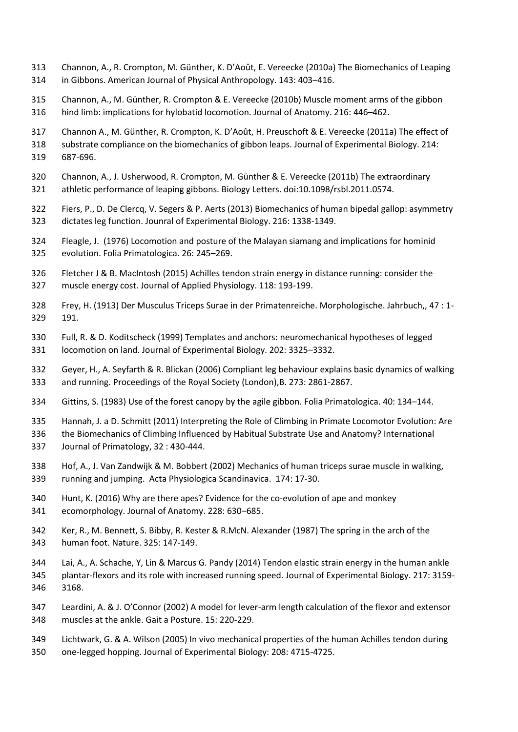- Channon, A., R. Crompton, M. Günther, K. D'Août, E. Vereecke (2010a) The Biomechanics of Leaping in Gibbons. American Journal of Physical Anthropology. 143: 403–416.
- Channon, A., M. Günther, R. Crompton & E. Vereecke (2010b) Muscle moment arms of the gibbon hind limb: implications for hylobatid locomotion. Journal of Anatomy. 216: 446–462.
- Channon A., M. Günther, R. Crompton, K. D'Août, H. Preuschoft & E. Vereecke (2011a) The effect of
- substrate compliance on the biomechanics of gibbon leaps. Journal of Experimental Biology. 214: 687-696.
- Channon, A., J. Usherwood, R. Crompton, M. Günther & E. Vereecke (2011b) The extraordinary athletic performance of leaping gibbons. Biology Letters. doi:10.1098/rsbl.2011.0574.
- Fiers, P., D. De Clercq, V. Segers & P. Aerts (2013) Biomechanics of human bipedal gallop: asymmetry dictates leg function. Jounral of Experimental Biology. 216: 1338-1349.
- Fleagle, J. (1976) Locomotion and posture of the Malayan siamang and implications for hominid
- evolution. Folia Primatologica. 26: 245–269.
- Fletcher J & B. MacIntosh (2015) Achilles tendon strain energy in distance running: consider the
- muscle energy cost. Journal of Applied Physiology. 118: 193-199.
- Frey, H. (1913) Der Musculus Triceps Surae in der Primatenreiche. Morphologische. Jahrbuch,, 47 : 1- 191.
- Full, R. & D. Koditscheck (1999) Templates and anchors: neuromechanical hypotheses of legged locomotion on land. Journal of Experimental Biology. 202: 3325–3332.
- Geyer, H., A. Seyfarth & R. Blickan (2006) Compliant leg behaviour explains basic dynamics of walking and running. Proceedings of the Royal Society (London),B. 273: 2861-2867.
- Gittins, S. (1983) Use of the forest canopy by the agile gibbon. Folia Primatologica. 40: 134–144.
- Hannah, J. a D. Schmitt (2011) Interpreting the Role of Climbing in Primate Locomotor Evolution: Are
- the Biomechanics of Climbing Influenced by Habitual Substrate Use and Anatomy? International
- Journal of Primatology, 32 : 430-444.
- Hof, A., J. Van Zandwijk & M. Bobbert (2002) Mechanics of human triceps surae muscle in walking, running and jumping. Acta Physiologica Scandinavica. 174: 17-30.
- 340 Hunt, K. (2016) Why are there apes? Evidence for the co-evolution of ape and monkey ecomorphology. Journal of Anatomy. 228: 630–685.
- Ker, R., M. Bennett, S. Bibby, R. Kester & R.McN. Alexander (1987) The spring in the arch of the human foot. Nature. 325: 147-149.
- Lai, A., A. Schache, Y, Lin & Marcus G. Pandy (2014) Tendon elastic strain energy in the human ankle plantar-flexors and its role with increased running speed. Journal of Experimental Biology. 217: 3159- 3168.
- Leardini, A. & J. O'Connor (2002) A model for lever-arm length calculation of the flexor and extensor muscles at the ankle. Gait a Posture. 15: 220-229.
- Lichtwark, G. & A. Wilson (2005) In vivo mechanical properties of the human Achilles tendon during
- one-legged hopping. Journal of Experimental Biology: 208: 4715-4725.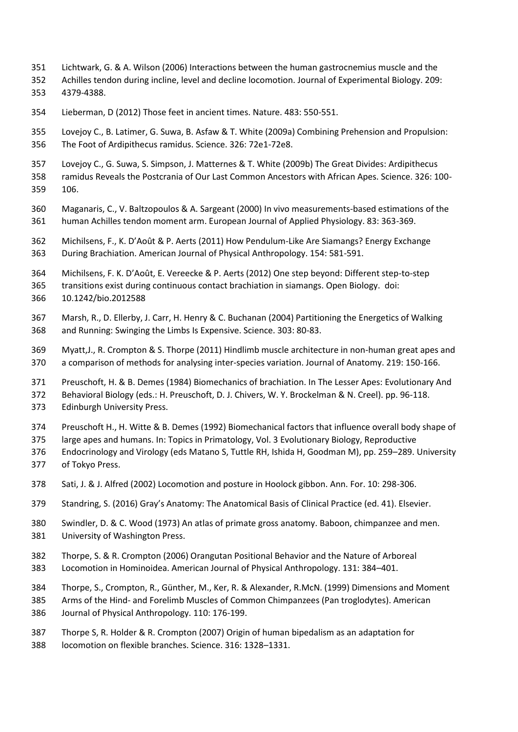- Lichtwark, G. & A. Wilson (2006) Interactions between the human gastrocnemius muscle and the
- Achilles tendon during incline, level and decline locomotion. Journal of Experimental Biology. 209: 4379-4388.
- Lieberman, D (2012) Those feet in ancient times. Nature. 483: 550-551.

 Lovejoy C., B. Latimer, G. Suwa, B. Asfaw & T. White (2009a) Combining Prehension and Propulsion: The Foot of Ardipithecus ramidus. Science. 326: 72e1-72e8.

- Lovejoy C., G. Suwa, S. Simpson, J. Matternes & T. White (2009b) The Great Divides: Ardipithecus
- ramidus Reveals the Postcrania of Our Last Common Ancestors with African Apes. Science. 326: 100- 106.
- Maganaris, C., V. Baltzopoulos & A. Sargeant (2000) In vivo measurements-based estimations of the human Achilles tendon moment arm. European Journal of Applied Physiology. 83: 363-369.
- Michilsens, F., K. D'Août & P. Aerts (2011) How Pendulum-Like Are Siamangs? Energy Exchange During Brachiation. American Journal of Physical Anthropology. 154: 581-591.
- Michilsens, F. K. D'Août, E. Vereecke & P. Aerts (2012) One step beyond: Different step-to-step
- transitions exist during continuous contact brachiation in siamangs. Open Biology. doi:
- 10.1242/bio.2012588
- Marsh, R., D. Ellerby, J. Carr, H. Henry & C. Buchanan (2004) Partitioning the Energetics of Walking and Running: Swinging the Limbs Is Expensive. Science. 303: 80-83.
- Myatt,J., R. Crompton & S. Thorpe (2011) Hindlimb muscle architecture in non-human great apes and a comparison of methods for analysing inter-species variation. Journal of Anatomy. 219: 150-166.
- Preuschoft, H. & B. Demes (1984) Biomechanics of brachiation. In The Lesser Apes: Evolutionary And
- Behavioral Biology (eds.: H. Preuschoft, D. J. Chivers, W. Y. Brockelman & N. Creel). pp. 96-118.
- Edinburgh University Press.
- Preuschoft H., H. Witte & B. Demes (1992) Biomechanical factors that influence overall body shape of
- large apes and humans. In: Topics in Primatology, Vol. 3 Evolutionary Biology, Reproductive
- Endocrinology and Virology (eds Matano S, Tuttle RH, Ishida H, Goodman M), pp. 259–289. University of Tokyo Press.
- Sati, J. & J. Alfred (2002) Locomotion and posture in Hoolock gibbon. Ann. For. 10: 298-306.
- Standring, S. (2016) Gray's Anatomy: The Anatomical Basis of Clinical Practice (ed. 41). Elsevier.
- Swindler, D. & C. Wood (1973) An atlas of primate gross anatomy. Baboon, chimpanzee and men. University of Washington Press.
- Thorpe, S. & R. Crompton (2006) Orangutan Positional Behavior and the Nature of Arboreal Locomotion in Hominoidea. American Journal of Physical Anthropology. 131: 384–401.
- Thorpe, S., Crompton, R., Günther, M., Ker, R. & Alexander, R.McN. (1999) Dimensions and Moment
- Arms of the Hind- and Forelimb Muscles of Common Chimpanzees (Pan troglodytes). American Journal of Physical Anthropology. 110: 176-199.
- Thorpe S, R. Holder & R. Crompton (2007) Origin of human bipedalism as an adaptation for locomotion on flexible branches. Science. 316: 1328–1331.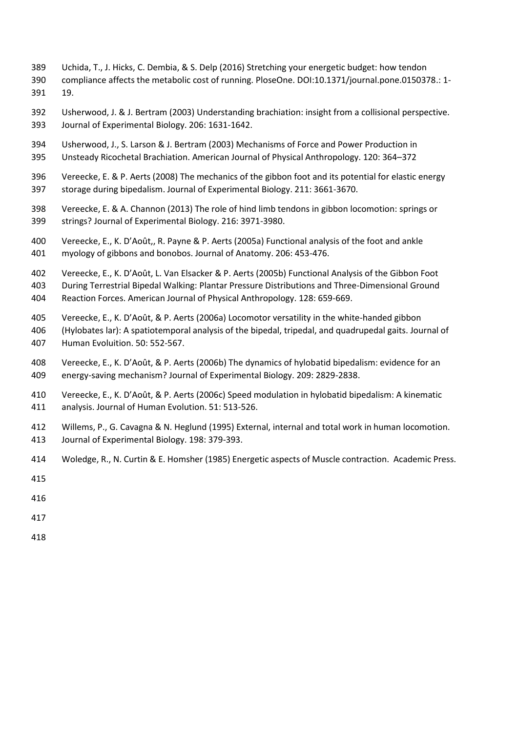- Uchida, T., J. Hicks, C. Dembia, & S. Delp (2016) Stretching your energetic budget: how tendon
- compliance affects the metabolic cost of running. PloseOne. DOI:10.1371/journal.pone.0150378.: 1- 19.
- Usherwood, J. & J. Bertram (2003) Understanding brachiation: insight from a collisional perspective. Journal of Experimental Biology. 206: 1631-1642.
- Usherwood, J., S. Larson & J. Bertram (2003) Mechanisms of Force and Power Production in Unsteady Ricochetal Brachiation. American Journal of Physical Anthropology. 120: 364–372
- Vereecke, E. & P. Aerts (2008) The mechanics of the gibbon foot and its potential for elastic energy storage during bipedalism. Journal of Experimental Biology. 211: 3661-3670.
- Vereecke, E. & A. Channon (2013) The role of hind limb tendons in gibbon locomotion: springs or strings? Journal of Experimental Biology. 216: 3971-3980.
- Vereecke, E., K. D'Août,, R. Payne & P. Aerts (2005a) Functional analysis of the foot and ankle myology of gibbons and bonobos. Journal of Anatomy. 206: 453-476.
- Vereecke, E., K. D'Août, L. Van Elsacker & P. Aerts (2005b) Functional Analysis of the Gibbon Foot
- During Terrestrial Bipedal Walking: Plantar Pressure Distributions and Three-Dimensional Ground
- Reaction Forces. American Journal of Physical Anthropology. 128: 659-669.
- Vereecke, E., K. D'Août, & P. Aerts (2006a) Locomotor versatility in the white-handed gibbon
- (Hylobates lar): A spatiotemporal analysis of the bipedal, tripedal, and quadrupedal gaits. Journal of Human Evoluition. 50: 552-567.
- Vereecke, E., K. D'Août, & P. Aerts (2006b) The dynamics of hylobatid bipedalism: evidence for an energy-saving mechanism? Journal of Experimental Biology. 209: 2829-2838.
- Vereecke, E., K. D'Août, & P. Aerts (2006c) Speed modulation in hylobatid bipedalism: A kinematic analysis. Journal of Human Evolution. 51: 513-526.
- Willems, P., G. Cavagna & N. Heglund (1995) External, internal and total work in human locomotion. Journal of Experimental Biology. 198: 379-393.
- Woledge, R., N. Curtin & E. Homsher (1985) Energetic aspects of Muscle contraction. Academic Press.
- 
- 
- 
- 
-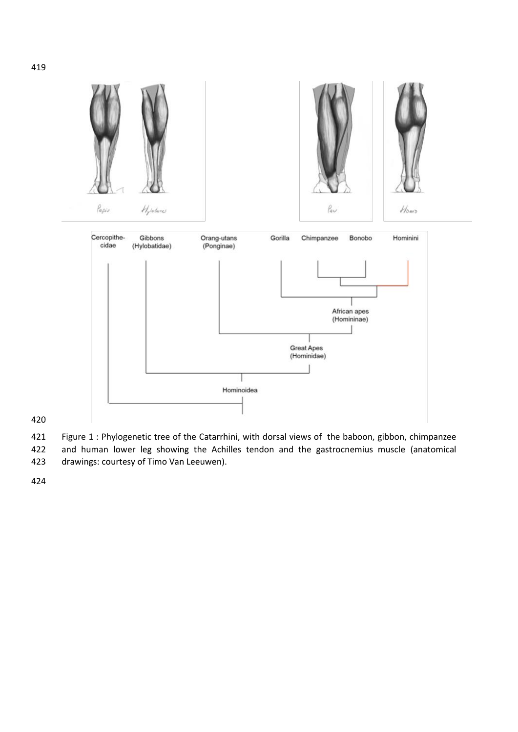

 Figure 1 : Phylogenetic tree of the Catarrhini, with dorsal views of the baboon, gibbon, chimpanzee and human lower leg showing the Achilles tendon and the gastrocnemius muscle (anatomical drawings: courtesy of Timo Van Leeuwen).